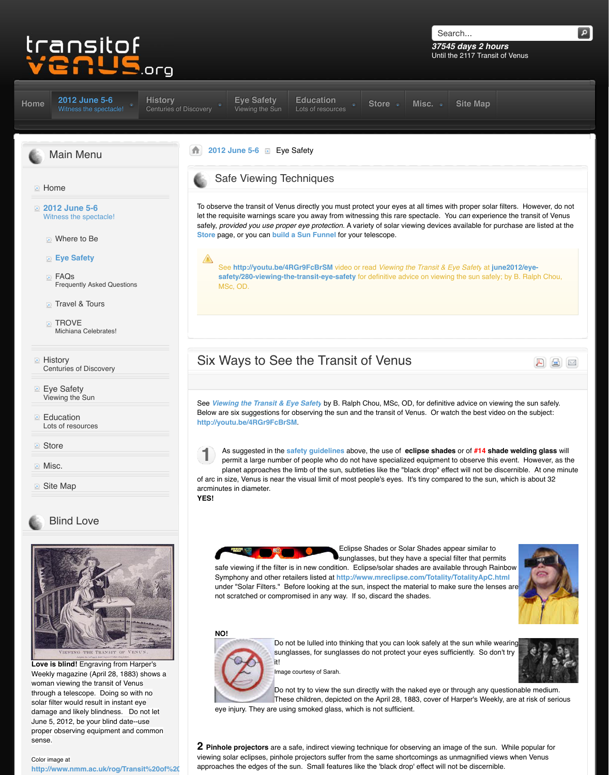- Travel & Tours
- **TROVE** Michiana Celebrates!
- **E** History Centuries of Discovery
- **Eye Safety** Vi[ewing the Sun](http://www.transitofvenus.org/june2012)
- **[Ed](http://www.transitofvenus.org/)ucation** Lots of resources
- **Store**
- **Misc.**
- **D** [Site Map](http://www.transitofvenus.org/)



## [Blind Love](http://www.transitofvenus.org/june2012)



**Love is blind!** Engraving from Harper's [Weekly magazine \(April 28, 1883\) shows a](http://www.transitofvenus.org/history) woman viewing the transit of Venus [through a telescope. Doing so with no](http://www.transitofvenus.org/june2012/eye-safety) solar filter would result in instant eye damage and likely blindness. Do not let June 5, 2012, be your blind date--use [proper observing equipment and common](http://www.transitofvenus.org/education) sense.

### [Color image at](http://www.transitofvenus.org/store) [http://www.nmm.ac.uk/rog/Transit%20of%](http://www.transitofvenus.org/misc)20

# Six Ways to See the Transit of

See Vie[wing the Transit & E](http://www.transitofvenus.org/june2012/eye-safety)ye Safety by B. Ralph [Below are](http://www.transitofvenus.org/history) six suggestions for observing the sun and **http://youtu.be/4RGr9FcBrSM**.



As suggested in the safety guidelines above [permit a large](http://www.transitofvenus.org/june2012) number of people who do not is planet approaches the limb of the sun, subtle of arc in size, Venus is near the visual limit of most people

arcminutes in diameter. **YES!**



Symphony and other retailers listed at **http://ww** under "Solar Filters." Before looking at the sun not scratched or compromised in any way. If so

#### **NO!**



Do not be lulled into thinking sunglasses, for sunglasses on it!

Image courtesy of Sarah.

Do not try to view the sun directly be nated the nate These children, depicted on

[eye injury. They are using smoked](http://www.transitofvenus.org/june2012/eye-safety/280-viewing-the-transit-eye-safety) glass, which

**2 Pinhole projectors** are a safe, indirect viewing te viewing solar eclipses, pinh[ole projectors suffer](http://www.transitofvenus.org/june2012/eye-safety/280-viewing-the-transit-eye-safety) from approaches the edges of the sun. Small features like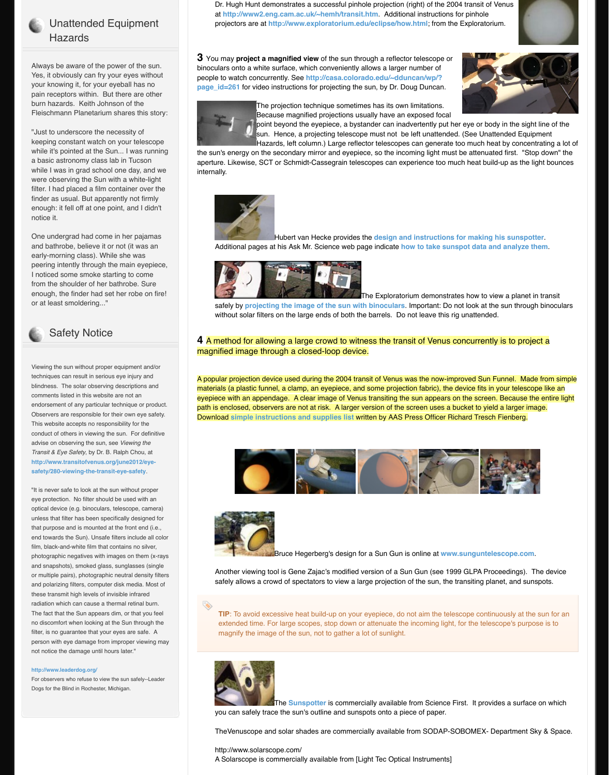#### or at least smoldering..."



# Safety Notice

Viewing the sun without proper equipment and/or techniques can result in serious eye injury and blindness. The solar observing descriptions and comments listed in this website are not an endorsement of any particular technique or product. Observers are responsible for their own eye safety. This website accepts no responsibility for the conduct of others in viewing the sun. For definitive advise on observing the sun, see *Viewing the Transit & Eye Safety*, by Dr. B. Ralph Chou, at **http://www.transitofvenus.org/june2012/eyesafety/280-viewing-the-transit-eye-safety**.

"It is never safe to look at the sun without proper eye protection. No filter should be used with an optical device (e.g. binoculars, telescope, camera) unless that filter has been specifically designed for that purpose and is mounted at the front end (i.e., end towards the Sun). Unsafe filters include all color film, black-and-white film that contains no silver, photographic negatives with images on them (x-rays and snapshots), smoked glass, sunglasses (single or multiple pairs), photographic neutral density filters and polarizing filters, computer disk media. Most of these transmit high levels of invisible infrared radiation which can cause a thermal retinal burn. The fact that the Sun appears dim, or that you feel no discomfort when looking at the Sun through the filter, is no guarantee that your eyes are safe. A person with eye damage from improper viewing may not notice the damage until hours later."

#### **http://www.leaderdog.org/**

For observers who refuse to view the sun safely--Leader Dogs for the Blind in Rochester, Michigan.

safely by **projecting the image of the sun with binoculars**. Important: Do not look at the sun through binoculars without solar filters on the large ends of both the

### **4** A method for allowing a large crowd to witn magnified image through a closed-loop device

A popular projection device used during the 2004 transited by materials (a plastic funnel, a clamp, an eyepiece, and eyepiece with an appendage. A clear image of Venu path is enclosed, observers are not at risk. A larger version of the screen uses a bucket to yield a larger in **Download simple instructions and supplies list written by A** 





**Bruce Hegerberg's design for** 

Another viewing tool is Gene Zajac's modified v safely allows a crowd of spectators to view a la

**TIP**: To avoid excessive heat build-up on your extended time. For large scopes, stop down or magnify the image of the sun, not to gather a I



**The Sunspotter** is commerce you can safely trace the sun's outline and suns

TheVenuscope and solar shades are commercially

http://www.solarscope.com/

A Solarscope is commercially available from [Li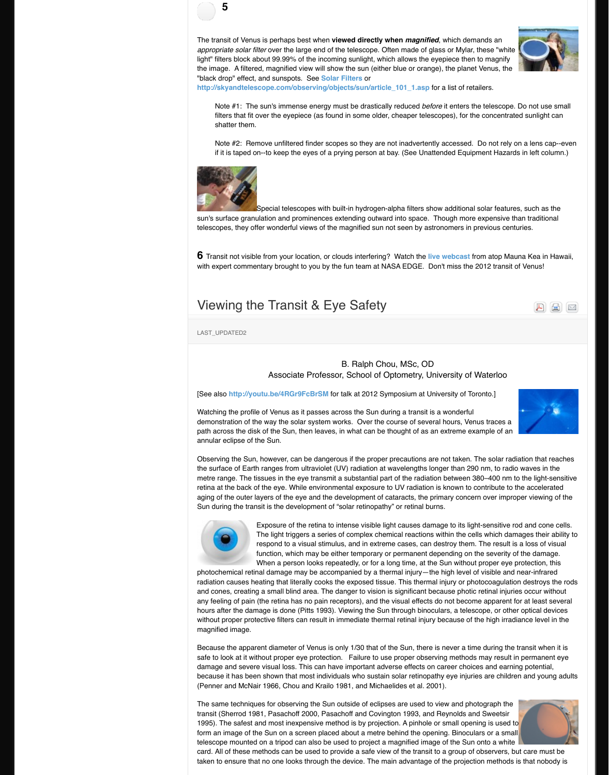#### Viewing the Transit  $\alpha$  Eye Sc

LAST\_UPDATED2

B. Ral Associate Pro[fessor, Scho](http://www.mreclipse.com/Totality/TotalityApC.html)

**[See also http://youtu.be/4RGr9FcBrSM** for talk at 2012

Watching the profile of Venus as it passes across the demonstration of the way the solar system works. O path across the disk of the Sun, then leaves, in what annular eclipse of the Sun.

Observing the Sun, however, can be dangerous if the the surface of Earth ranges from ultraviolet (UV) radiation [metre range. The ti](http://www.transitofvenus.org/june2012/eye-safety/281-six-ways-to-see-the-transit-of-venus)ssues in the eye transmit a substantial part of the range. retina at the back of the eye. While environmental ex aging of the outer layers of the eye and the developn Sun during the transit is the development of "solar reting the transit is the development of "solar retinal burns.



Exposure of the retina to intense v The light triggers a series of comp respond to a visual stimulus, and in function, which may be either tem When a person looks repeatedly,

photochemical retinal damage may be accompanied radiation causes heating that literally cooks the expose and cones, creating a small blind area. The danger to any feeling of pain (the retina has no pain receptors), hours after the damage is done (Pitts 1993). Viewing without proper protective filters can result in immedia magnified image.

Because the apparent diameter of Venus is only 1/30 safe to look at it without proper eye protection. Failure to look at it without proper eye protection. damage and severe visual loss. This can have impor because it has been shown that most individuals who (Penner and McNair 1966, Chou and Krailo 1981, an

The sam[e techniques for observing the Su](http://youtu.be/4RGr9FcBrSM)n outside transit (Sherrod 1981, Pasachoff 2000, Pasachoff an 1995). The safest and most inexpensive method is by form an image of the Sun on a screen placed about a telescope mounted on a tripod can also be used to p card. All of these methods can be used to provide a s taken to ensure that no one looks through the device.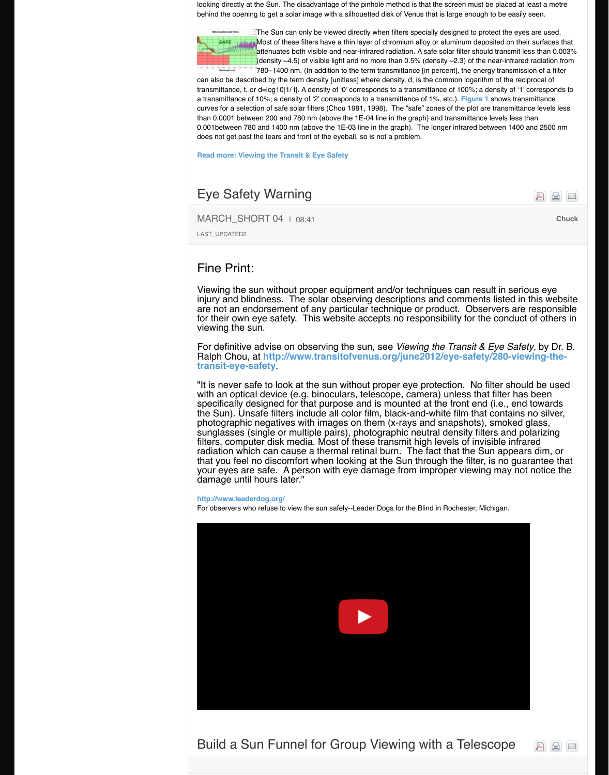are not an endorsement of any particular technique or products.  $\frac{d}{dt}$ for their own eye safety. This website a viewing the sun.

For definitive advise on observing the set Ralph Chou, at http://www.transitofve **transit-eye-safety**.

"It is never safe to look at the sun withor with an optical device (e.g. binoculars, t specifically designed for that purpose and it at the state is specifically the Sun). Unsafe filters include all color photographic negatives with images on sunglasses (single or multiple pairs), photographic neutral density filters and polarizing and polarizing and pola filters, computer disk media. Most of the radiation which can cause a thermal ret [that you feel no discomfort when loo](http://www.transitofvenus.org/june2012/eye-safety/280-viewing-the-transit-eye-safety)king your eyes are safe. A person with eye of damage until hours later."

#### **http://www.leaderdog.org/**

For observers who refuse to view the sun safely--Lea



# Build a Sun Funnel for Group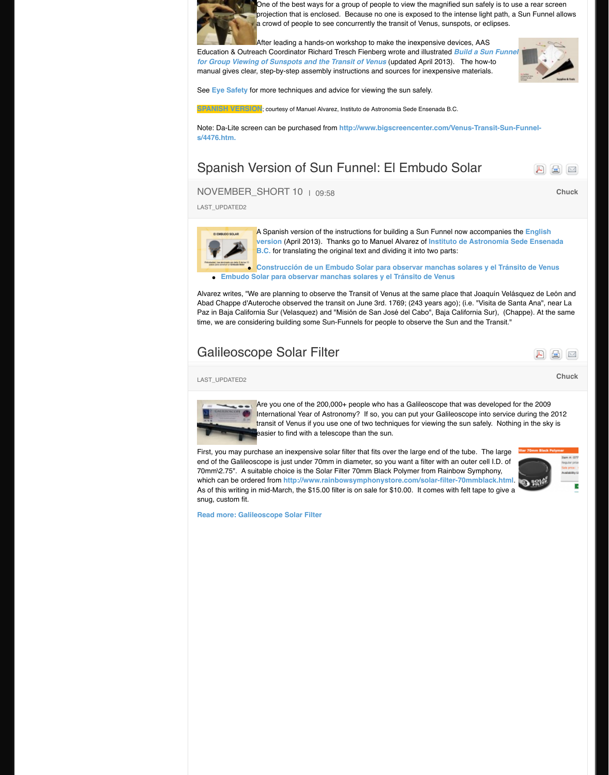Abad Chappe d'Auteroche observed the transit on June 3rd. 1769; (243 years ago); (i.e. "Visita de Santa Ana", near La Paz in Baja California Sur (Velasquez) and "Misión d time, we are considering building some Sun-Funnels

# [Galileoscope Solar Filter](http://www.transitofvenus.org/docs/Build_a_Sun_Funnel_v2.0.pdf)

### **Chuck** LAST\_UPDATED2



Are you one of the  $200,000+$  peop [In](http://www.transitofvenus.org/docs/funnel-embudo-solar-carta.pdf)ternational Year of Astronomy? transit of Venus if you use one of t easier to find with a telescope thai

First, you may purchase an inexpensive solar filter th end of the Galileoscope is just under 70mm in diame 70mm\2.75". A suitable choice is the Solar Filter 70n which can be ordered from http://www.rainbowsym As of this writing in mid-March, the \$15.00 filter is on snug, custom fit.

**Read more: Galileoscope Solar Filter**